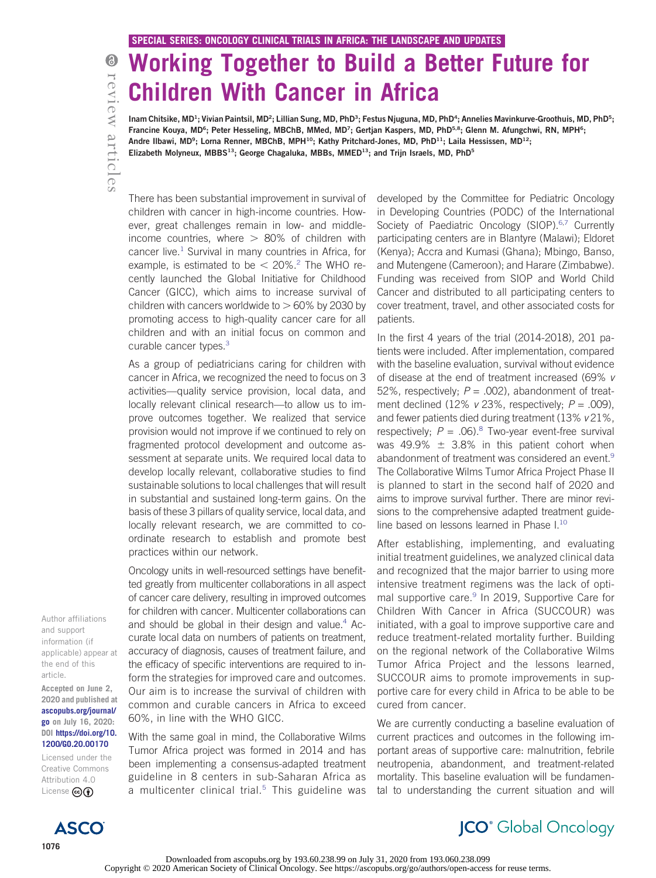# Working Together to Build a Better Future for Children With Cancer in Africa

Inam Chitsike, MD<sup>1</sup>; Vivian Paintsil, MD<sup>2</sup>; Lillian Sung, MD, PhD<sup>3</sup>; Festus Njuguna, MD, PhD<sup>4</sup>; Annelies Mavinkurve-Groothuis, MD, PhD<sup>5</sup>; Francine Kouya, MD<sup>6</sup>; Peter Hesseling, MBChB, MMed, MD<sup>7</sup>; Gertjan Kaspers, MD, PhD<sup>5,8</sup>; Glenn M. Afungchwi, RN, MPH<sup>6</sup>; Andre Ilbawi, MD<sup>9</sup>; Lorna Renner, MBChB, MPH<sup>10</sup>; Kathy Pritchard-Jones, MD, PhD<sup>11</sup>; Laila Hessissen, MD<sup>12</sup>; Elizabeth Molyneux, MBBS<sup>13</sup>; George Chagaluka, MBBs, MMED<sup>13</sup>; and Trijn Israels, MD, PhD<sup>5</sup>

There has been substantial improvement in survival of children with cancer in high-income countries. However, great challenges remain in low- and middleincome countries, where  $> 80\%$  of children with cancer live.<sup>[1](#page-2-0)</sup> Survival in many countries in Africa, for example, is estimated to be  $<$  [2](#page-2-1)0%.<sup>2</sup> The WHO recently launched the Global Initiative for Childhood Cancer (GICC), which aims to increase survival of children with cancers worldwide to  $> 60\%$  by 2030 by promoting access to high-quality cancer care for all children and with an initial focus on common and curable cancer types.<sup>3</sup>

As a group of pediatricians caring for children with cancer in Africa, we recognized the need to focus on 3 activities—quality service provision, local data, and locally relevant clinical research—to allow us to improve outcomes together. We realized that service provision would not improve if we continued to rely on fragmented protocol development and outcome assessment at separate units. We required local data to develop locally relevant, collaborative studies to find sustainable solutions to local challenges that will result in substantial and sustained long-term gains. On the basis of these 3 pillars of quality service, local data, and locally relevant research, we are committed to coordinate research to establish and promote best practices within our network.

Oncology units in well-resourced settings have benefitted greatly from multicenter collaborations in all aspect of cancer care delivery, resulting in improved outcomes for children with cancer. Multicenter collaborations can and should be global in their design and value. $4$  Accurate local data on numbers of patients on treatment, accuracy of diagnosis, causes of treatment failure, and the efficacy of specific interventions are required to inform the strategies for improved care and outcomes. Our aim is to increase the survival of children with common and curable cancers in Africa to exceed 60%, in line with the WHO GICC.

With the same goal in mind, the Collaborative Wilms Tumor Africa project was formed in 2014 and has been implementing a consensus-adapted treatment guideline in 8 centers in sub-Saharan Africa as a multicenter clinical trial. $5$  This guideline was

developed by the Committee for Pediatric Oncology in Developing Countries (PODC) of the International Society of Paediatric Oncology (SIOP).<sup>[6](#page-2-5)[,7](#page-2-6)</sup> Currently participating centers are in Blantyre (Malawi); Eldoret (Kenya); Accra and Kumasi (Ghana); Mbingo, Banso, and Mutengene (Cameroon); and Harare (Zimbabwe). Funding was received from SIOP and World Child Cancer and distributed to all participating centers to cover treatment, travel, and other associated costs for patients.

In the first 4 years of the trial (2014-2018), 201 patients were included. After implementation, compared with the baseline evaluation, survival without evidence of disease at the end of treatment increased (69% v 52%, respectively;  $P = .002$ ), abandonment of treatment declined (12%  $v$  23%, respectively;  $P = .009$ ), and fewer patients died during treatment (13% v 21%, respectively;  $P = .06$ .<sup>8</sup> Two-year event-free survival was 49.9%  $\pm$  3.8% in this patient cohort when abandonment of treatment was considered an event.<sup>[9](#page-2-8)</sup> The Collaborative Wilms Tumor Africa Project Phase II is planned to start in the second half of 2020 and aims to improve survival further. There are minor revisions to the comprehensive adapted treatment guideline based on lessons learned in Phase I[.10](#page-2-9)

After establishing, implementing, and evaluating initial treatment guidelines, we analyzed clinical data and recognized that the major barrier to using more intensive treatment regimens was the lack of opti-mal supportive care.<sup>[9](#page-2-8)</sup> In 2019, Supportive Care for Children With Cancer in Africa (SUCCOUR) was initiated, with a goal to improve supportive care and reduce treatment-related mortality further. Building on the regional network of the Collaborative Wilms Tumor Africa Project and the lessons learned, SUCCOUR aims to promote improvements in supportive care for every child in Africa to be able to be cured from cancer.

We are currently conducting a baseline evaluation of current practices and outcomes in the following important areas of supportive care: malnutrition, febrile neutropenia, abandonment, and treatment-related mortality. This baseline evaluation will be fundamental to understanding the current situation and will

Author affiliations and support information (if applicable) appear at the end of this article.

Accepted on June 2, 2020 and published at [ascopubs.org/journal/](http://ascopubs.org/journal/go) [go](http://ascopubs.org/journal/go) on July 16, 2020: DOI [https://doi.org/10.](http://ascopubs.org/doi/full/10.1200/GO.20.00170) [1200/GO.20.00170](http://ascopubs.org/doi/full/10.1200/GO.20.00170)

Licensed under the Creative Commons Attribution 4.0 License **@** 

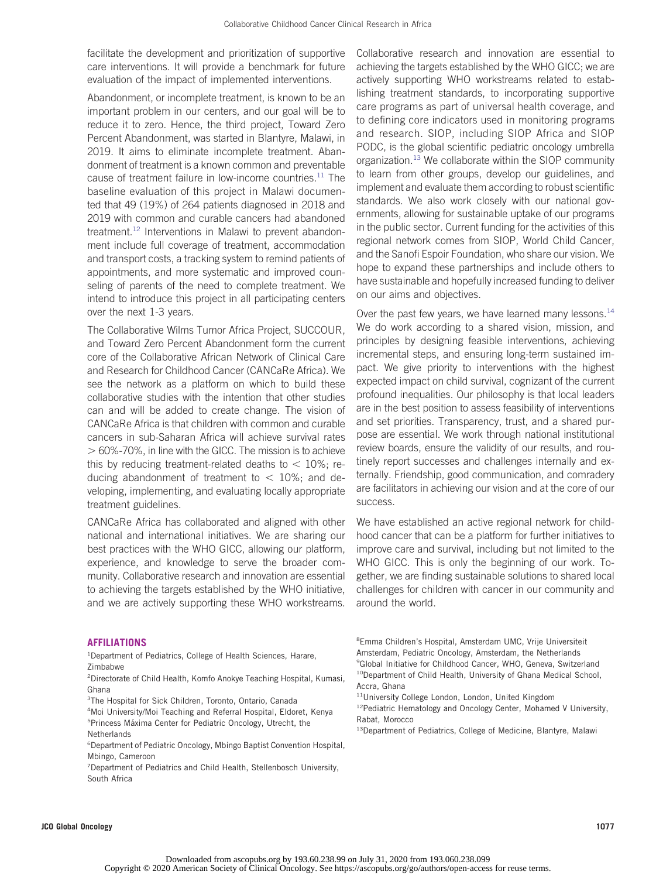facilitate the development and prioritization of supportive care interventions. It will provide a benchmark for future evaluation of the impact of implemented interventions.

Abandonment, or incomplete treatment, is known to be an important problem in our centers, and our goal will be to reduce it to zero. Hence, the third project, Toward Zero Percent Abandonment, was started in Blantyre, Malawi, in 2019. It aims to eliminate incomplete treatment. Abandonment of treatment is a known common and preventable cause of treatment failure in low-income countries. $11$  The baseline evaluation of this project in Malawi documented that 49 (19%) of 264 patients diagnosed in 2018 and 2019 with common and curable cancers had abandoned treatment.<sup>[12](#page-2-11)</sup> Interventions in Malawi to prevent abandonment include full coverage of treatment, accommodation and transport costs, a tracking system to remind patients of appointments, and more systematic and improved counseling of parents of the need to complete treatment. We intend to introduce this project in all participating centers over the next 1-3 years.

The Collaborative Wilms Tumor Africa Project, SUCCOUR, and Toward Zero Percent Abandonment form the current core of the Collaborative African Network of Clinical Care and Research for Childhood Cancer (CANCaRe Africa). We see the network as a platform on which to build these collaborative studies with the intention that other studies can and will be added to create change. The vision of CANCaRe Africa is that children with common and curable cancers in sub-Saharan Africa will achieve survival rates  $> 60\%$ -70%, in line with the GICC. The mission is to achieve this by reducing treatment-related deaths to  $< 10\%$ ; reducing abandonment of treatment to  $<$  10%; and developing, implementing, and evaluating locally appropriate treatment guidelines.

CANCaRe Africa has collaborated and aligned with other national and international initiatives. We are sharing our best practices with the WHO GICC, allowing our platform, experience, and knowledge to serve the broader community. Collaborative research and innovation are essential to achieving the targets established by the WHO initiative, and we are actively supporting these WHO workstreams. achieving the targets established by the WHO GICC; we are actively supporting WHO workstreams related to establishing treatment standards, to incorporating supportive care programs as part of universal health coverage, and to defining core indicators used in monitoring programs and research. SIOP, including SIOP Africa and SIOP PODC, is the global scientific pediatric oncology umbrella organization.<sup>13</sup> We collaborate within the SIOP community to learn from other groups, develop our guidelines, and implement and evaluate them according to robust scientific standards. We also work closely with our national governments, allowing for sustainable uptake of our programs in the public sector. Current funding for the activities of this regional network comes from SIOP, World Child Cancer, and the Sanofi Espoir Foundation, who share our vision. We hope to expand these partnerships and include others to have sustainable and hopefully increased funding to deliver on our aims and objectives.

Collaborative research and innovation are essential to

Over the past few years, we have learned many lessons. $14$ We do work according to a shared vision, mission, and principles by designing feasible interventions, achieving incremental steps, and ensuring long-term sustained impact. We give priority to interventions with the highest expected impact on child survival, cognizant of the current profound inequalities. Our philosophy is that local leaders are in the best position to assess feasibility of interventions and set priorities. Transparency, trust, and a shared purpose are essential. We work through national institutional review boards, ensure the validity of our results, and routinely report successes and challenges internally and externally. Friendship, good communication, and comradery are facilitators in achieving our vision and at the core of our success.

We have established an active regional network for childhood cancer that can be a platform for further initiatives to improve care and survival, including but not limited to the WHO GICC. This is only the beginning of our work. Together, we are finding sustainable solutions to shared local challenges for children with cancer in our community and around the world.

## AFFILIATIONS

<sup>1</sup>Department of Pediatrics, College of Health Sciences, Harare, Zimbabwe

2 Directorate of Child Health, Komfo Anokye Teaching Hospital, Kumasi, Ghana

<sup>3</sup>The Hospital for Sick Children, Toronto, Ontario, Canada

4 Moi University/Moi Teaching and Referral Hospital, Eldoret, Kenya <sup>5</sup> Princess Máxima Center for Pediatric Oncology, Utrecht, the **Netherlands** 

6 Department of Pediatric Oncology, Mbingo Baptist Convention Hospital, Mbingo, Cameroon

<sup>7</sup> Department of Pediatrics and Child Health, Stellenbosch University, South Africa

8 Emma Children's Hospital, Amsterdam UMC, Vrije Universiteit Amsterdam, Pediatric Oncology, Amsterdam, the Netherlands <sup>9</sup>Global Initiative for Childhood Cancer, WHO, Geneva, Switzerland <sup>10</sup>Department of Child Health, University of Ghana Medical School, Accra, Ghana

JCO Global Oncology 1077

<sup>11</sup>University College London, London, United Kingdom

<sup>&</sup>lt;sup>12</sup>Pediatric Hematology and Oncology Center, Mohamed V University, Rabat, Morocco

<sup>&</sup>lt;sup>13</sup>Department of Pediatrics, College of Medicine, Blantyre, Malawi